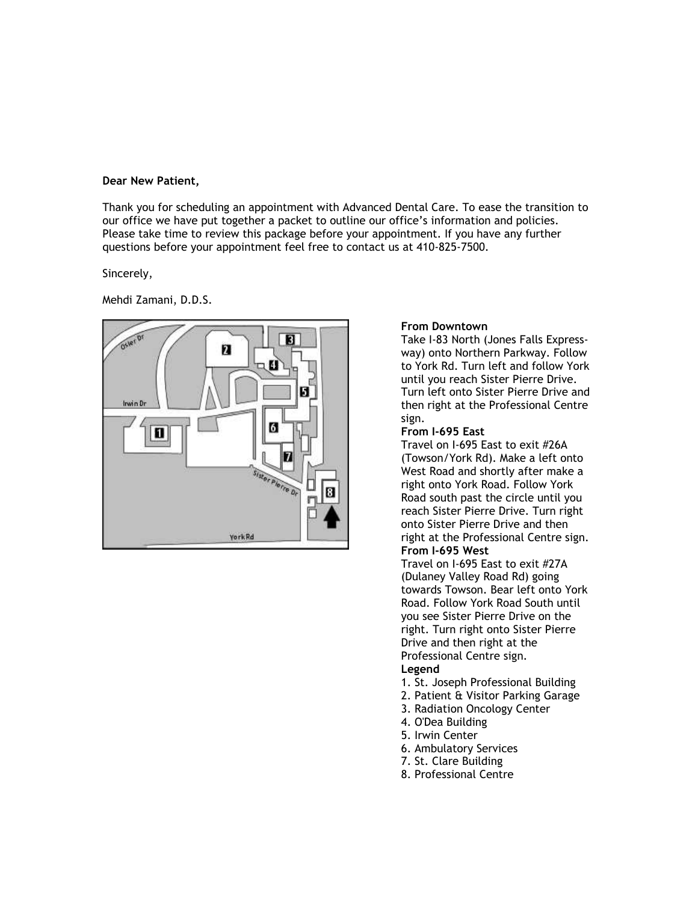#### **Dear New Patient,**

Thank you for scheduling an appointment with Advanced Dental Care. To ease the transition to our office we have put together a packet to outline our office's information and policies. Please take time to review this package before your appointment. If you have any further questions before your appointment feel free to contact us at 410-825-7500.

Sincerely,

Mehdi Zamani, D.D.S.



### **From Downtown**

Take I-83 North (Jones Falls Expressway) onto Northern Parkway. Follow to York Rd. Turn left and follow York until you reach Sister Pierre Drive. Turn left onto Sister Pierre Drive and then right at the Professional Centre sign.

#### **From I-695 East**

Travel on I-695 East to exit #26A (Towson/York Rd). Make a left onto West Road and shortly after make a right onto York Road. Follow York Road south past the circle until you reach Sister Pierre Drive. Turn right onto Sister Pierre Drive and then right at the Professional Centre sign. **From I-695 West**

Travel on I-695 East to exit #27A (Dulaney Valley Road Rd) going towards Towson. Bear left onto York Road. Follow York Road South until you see Sister Pierre Drive on the right. Turn right onto Sister Pierre Drive and then right at the Professional Centre sign.

### **Legend**

- 1. St. Joseph Professional Building
- 2. Patient & Visitor Parking Garage
- 3. Radiation Oncology Center
- 4. O'Dea Building
- 5. Irwin Center
- 6. Ambulatory Services
- 7. St. Clare Building
- 8. Professional Centre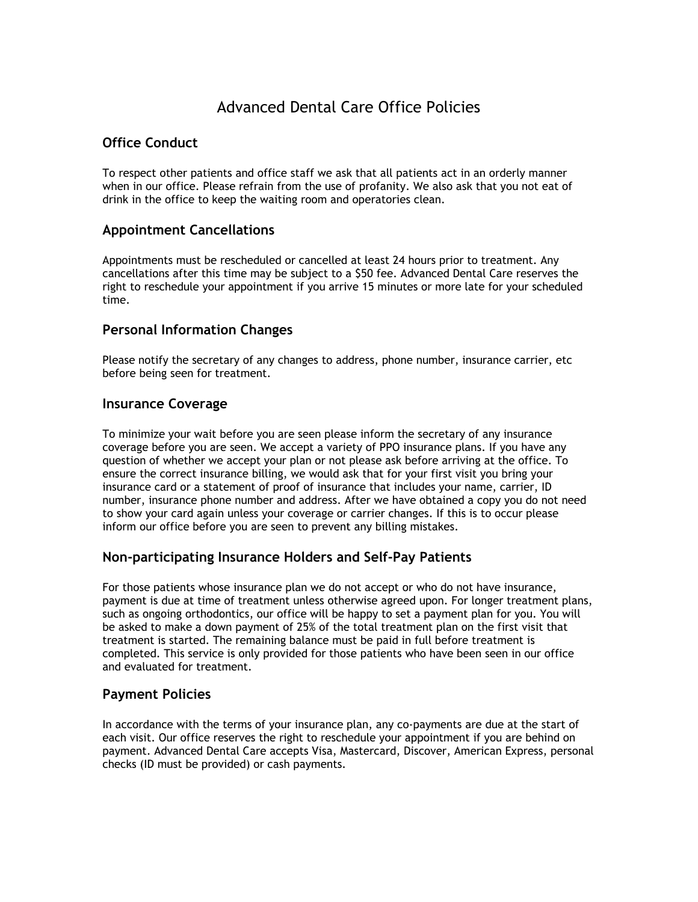# Advanced Dental Care Office Policies

# **Office Conduct**

To respect other patients and office staff we ask that all patients act in an orderly manner when in our office. Please refrain from the use of profanity. We also ask that you not eat of drink in the office to keep the waiting room and operatories clean.

## **Appointment Cancellations**

Appointments must be rescheduled or cancelled at least 24 hours prior to treatment. Any cancellations after this time may be subject to a \$50 fee. Advanced Dental Care reserves the right to reschedule your appointment if you arrive 15 minutes or more late for your scheduled time.

### **Personal Information Changes**

Please notify the secretary of any changes to address, phone number, insurance carrier, etc before being seen for treatment.

### **Insurance Coverage**

To minimize your wait before you are seen please inform the secretary of any insurance coverage before you are seen. We accept a variety of PPO insurance plans. If you have any question of whether we accept your plan or not please ask before arriving at the office. To ensure the correct insurance billing, we would ask that for your first visit you bring your insurance card or a statement of proof of insurance that includes your name, carrier, ID number, insurance phone number and address. After we have obtained a copy you do not need to show your card again unless your coverage or carrier changes. If this is to occur please inform our office before you are seen to prevent any billing mistakes.

# **Non-participating Insurance Holders and Self-Pay Patients**

For those patients whose insurance plan we do not accept or who do not have insurance, payment is due at time of treatment unless otherwise agreed upon. For longer treatment plans, such as ongoing orthodontics, our office will be happy to set a payment plan for you. You will be asked to make a down payment of 25% of the total treatment plan on the first visit that treatment is started. The remaining balance must be paid in full before treatment is completed. This service is only provided for those patients who have been seen in our office and evaluated for treatment.

### **Payment Policies**

In accordance with the terms of your insurance plan, any co-payments are due at the start of each visit. Our office reserves the right to reschedule your appointment if you are behind on payment. Advanced Dental Care accepts Visa, Mastercard, Discover, American Express, personal checks (ID must be provided) or cash payments.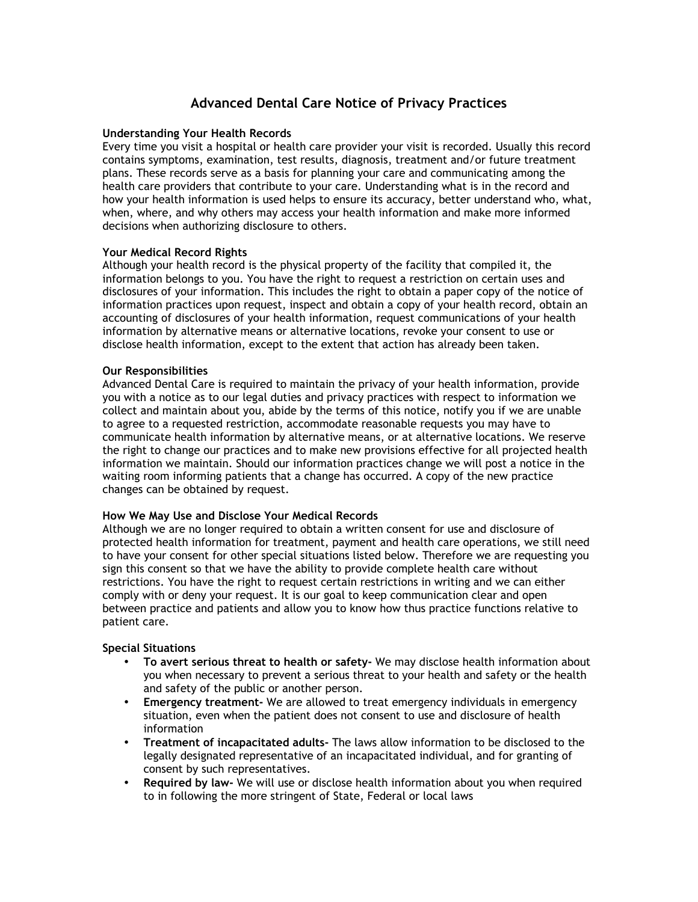# **Advanced Dental Care Notice of Privacy Practices**

### **Understanding Your Health Records**

Every time you visit a hospital or health care provider your visit is recorded. Usually this record contains symptoms, examination, test results, diagnosis, treatment and/or future treatment plans. These records serve as a basis for planning your care and communicating among the health care providers that contribute to your care. Understanding what is in the record and how your health information is used helps to ensure its accuracy, better understand who, what, when, where, and why others may access your health information and make more informed decisions when authorizing disclosure to others.

### **Your Medical Record Rights**

Although your health record is the physical property of the facility that compiled it, the information belongs to you. You have the right to request a restriction on certain uses and disclosures of your information. This includes the right to obtain a paper copy of the notice of information practices upon request, inspect and obtain a copy of your health record, obtain an accounting of disclosures of your health information, request communications of your health information by alternative means or alternative locations, revoke your consent to use or disclose health information, except to the extent that action has already been taken.

### **Our Responsibilities**

Advanced Dental Care is required to maintain the privacy of your health information, provide you with a notice as to our legal duties and privacy practices with respect to information we collect and maintain about you, abide by the terms of this notice, notify you if we are unable to agree to a requested restriction, accommodate reasonable requests you may have to communicate health information by alternative means, or at alternative locations. We reserve the right to change our practices and to make new provisions effective for all projected health information we maintain. Should our information practices change we will post a notice in the waiting room informing patients that a change has occurred. A copy of the new practice changes can be obtained by request.

### **How We May Use and Disclose Your Medical Records**

Although we are no longer required to obtain a written consent for use and disclosure of protected health information for treatment, payment and health care operations, we still need to have your consent for other special situations listed below. Therefore we are requesting you sign this consent so that we have the ability to provide complete health care without restrictions. You have the right to request certain restrictions in writing and we can either comply with or deny your request. It is our goal to keep communication clear and open between practice and patients and allow you to know how thus practice functions relative to patient care.

### **Special Situations**

- **To avert serious threat to health or safety-** We may disclose health information about you when necessary to prevent a serious threat to your health and safety or the health and safety of the public or another person.
- **Emergency treatment-** We are allowed to treat emergency individuals in emergency situation, even when the patient does not consent to use and disclosure of health information
- **Treatment of incapacitated adults-** The laws allow information to be disclosed to the legally designated representative of an incapacitated individual, and for granting of consent by such representatives.
- **Required by law-** We will use or disclose health information about you when required to in following the more stringent of State, Federal or local laws